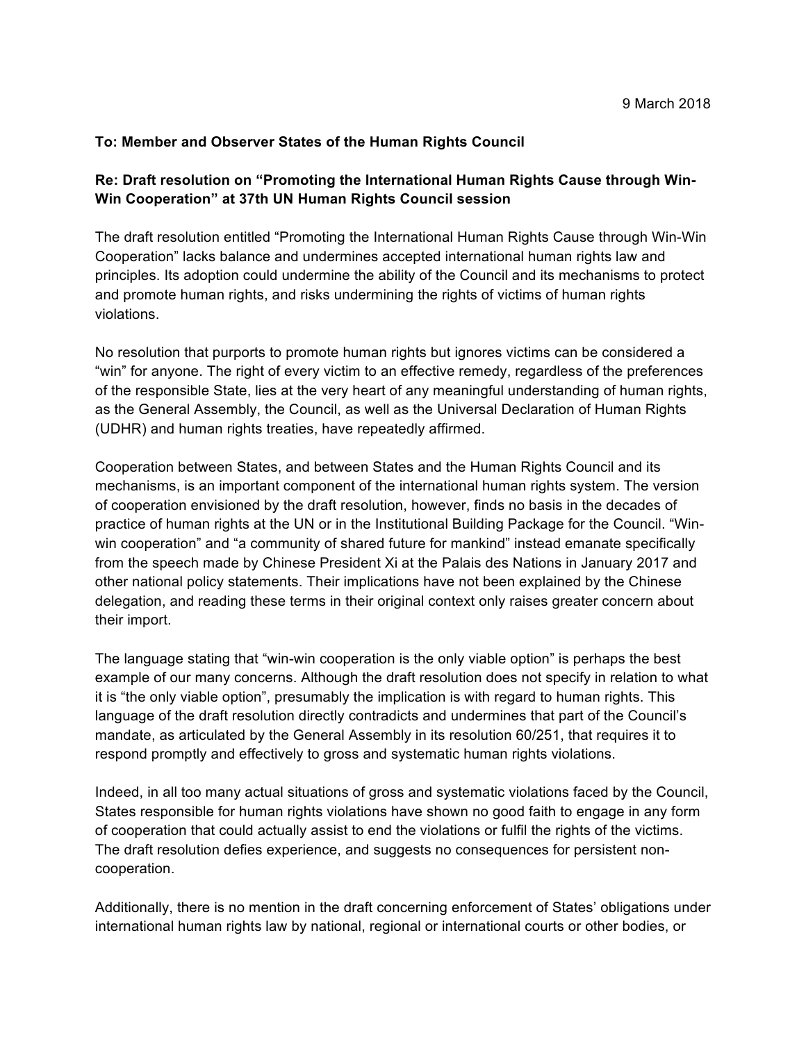## **To: Member and Observer States of the Human Rights Council**

## **Re: Draft resolution on "Promoting the International Human Rights Cause through Win-Win Cooperation" at 37th UN Human Rights Council session**

The draft resolution entitled "Promoting the International Human Rights Cause through Win-Win Cooperation" lacks balance and undermines accepted international human rights law and principles. Its adoption could undermine the ability of the Council and its mechanisms to protect and promote human rights, and risks undermining the rights of victims of human rights violations.

No resolution that purports to promote human rights but ignores victims can be considered a "win" for anyone. The right of every victim to an effective remedy, regardless of the preferences of the responsible State, lies at the very heart of any meaningful understanding of human rights, as the General Assembly, the Council, as well as the Universal Declaration of Human Rights (UDHR) and human rights treaties, have repeatedly affirmed.

Cooperation between States, and between States and the Human Rights Council and its mechanisms, is an important component of the international human rights system. The version of cooperation envisioned by the draft resolution, however, finds no basis in the decades of practice of human rights at the UN or in the Institutional Building Package for the Council. "Winwin cooperation" and "a community of shared future for mankind" instead emanate specifically from the speech made by Chinese President Xi at the Palais des Nations in January 2017 and other national policy statements. Their implications have not been explained by the Chinese delegation, and reading these terms in their original context only raises greater concern about their import.

The language stating that "win-win cooperation is the only viable option" is perhaps the best example of our many concerns. Although the draft resolution does not specify in relation to what it is "the only viable option", presumably the implication is with regard to human rights. This language of the draft resolution directly contradicts and undermines that part of the Council's mandate, as articulated by the General Assembly in its resolution 60/251, that requires it to respond promptly and effectively to gross and systematic human rights violations.

Indeed, in all too many actual situations of gross and systematic violations faced by the Council, States responsible for human rights violations have shown no good faith to engage in any form of cooperation that could actually assist to end the violations or fulfil the rights of the victims. The draft resolution defies experience, and suggests no consequences for persistent noncooperation.

Additionally, there is no mention in the draft concerning enforcement of States' obligations under international human rights law by national, regional or international courts or other bodies, or